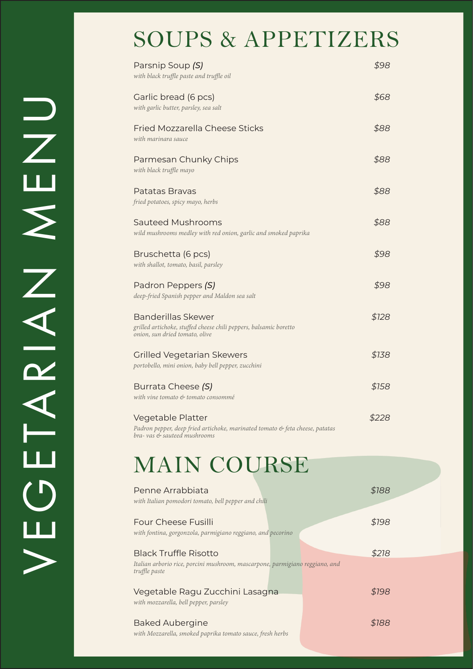### SOUPS & APPETIZERS

| Parsnip Soup (S)<br>with black truffle paste and truffle oil                                                                     | \$98  |
|----------------------------------------------------------------------------------------------------------------------------------|-------|
| Garlic bread (6 pcs)<br>with garlic butter, parsley, sea salt                                                                    | \$68  |
| <b>Fried Mozzarella Cheese Sticks</b><br>with marinara sauce                                                                     | \$88  |
| Parmesan Chunky Chips<br>with black truffle mayo                                                                                 | \$88  |
| Patatas Brayas<br>fried potatoes, spicy mayo, herbs                                                                              | \$88  |
| <b>Sauteed Mushrooms</b><br>wild mushrooms medley with red onion, garlic and smoked paprika                                      | \$88  |
| Bruschetta (6 pcs)<br>with shallot, tomato, basil, parsley                                                                       | \$98  |
| Padron Peppers (S)<br>deep-fried Spanish pepper and Maldon sea salt                                                              | \$98  |
| <b>Banderillas Skewer</b><br>grilled artichoke, stuffed cheese chili peppers, balsamic boretto<br>onion, sun dried tomato, olive | \$128 |
| <b>Grilled Vegetarian Skewers</b><br>portobello, mini onion, baby bell pepper, zucchini                                          | \$138 |
| Burrata Cheese (S)<br>with vine tomato & tomato consommé                                                                         | \$158 |
| Vegetable Platter<br>Padron pepper, deep fried artichoke, marinated tomato & feta cheese, patatas<br>bra-vas & sauteed mushrooms | \$228 |

## MAIN COURSE

VEGETARIAN MENU

EGEARIAN

 $\blacktriangleright$ 

UNEN<br>NH

| Penne Arrabbiata<br>with Italian pomodori tomato, bell pepper and chili                                                       | \$188 |
|-------------------------------------------------------------------------------------------------------------------------------|-------|
| <b>Four Cheese Fusilli</b><br>with fontina, gorgonzola, parmigiano reggiano, and pecorino                                     | \$198 |
| <b>Black Truffle Risotto</b><br>Italian arborio rice, porcini mushroom, mascarpone, parmigiano reggiano, and<br>truffle paste | \$218 |
| Vegetable Ragu Zucchini Lasagna<br>with mozzarella, bell pepper, parsley                                                      | \$198 |
| <b>Baked Aubergine</b><br>with Mozzarella, smoked paprika tomato sauce, fresh herbs                                           | \$188 |